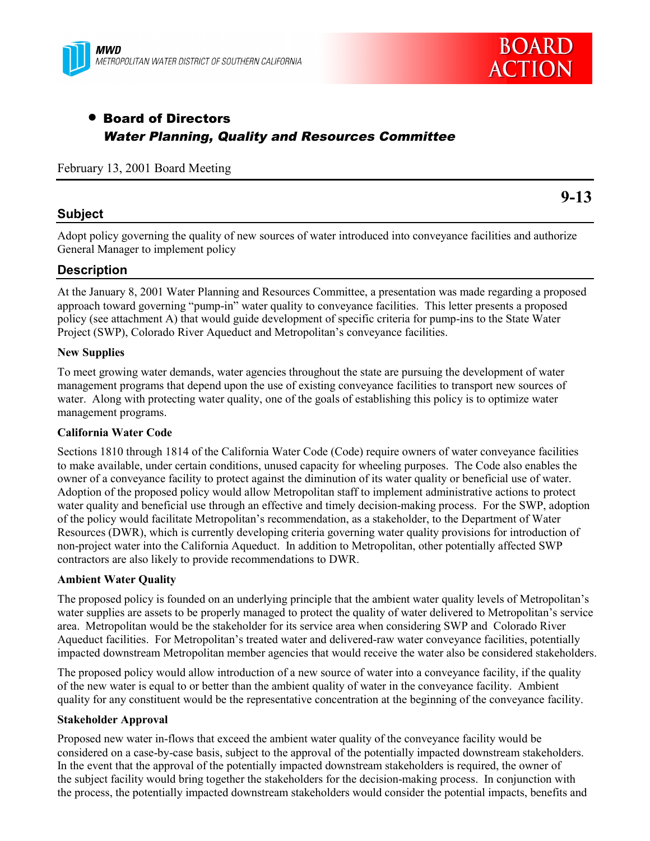



# • Board of Directors Water Planning, Quality and Resources Committee

February 13, 2001 Board Meeting

### **Subject**

**9-13**

Adopt policy governing the quality of new sources of water introduced into conveyance facilities and authorize General Manager to implement policy

### **Description**

At the January 8, 2001 Water Planning and Resources Committee, a presentation was made regarding a proposed approach toward governing "pump-in" water quality to conveyance facilities. This letter presents a proposed policy (see attachment A) that would guide development of specific criteria for pump-ins to the State Water Project (SWP), Colorado River Aqueduct and Metropolitan's conveyance facilities.

#### **New Supplies**

To meet growing water demands, water agencies throughout the state are pursuing the development of water management programs that depend upon the use of existing conveyance facilities to transport new sources of water. Along with protecting water quality, one of the goals of establishing this policy is to optimize water management programs.

#### **California Water Code**

Sections 1810 through 1814 of the California Water Code (Code) require owners of water conveyance facilities to make available, under certain conditions, unused capacity for wheeling purposes. The Code also enables the owner of a conveyance facility to protect against the diminution of its water quality or beneficial use of water. Adoption of the proposed policy would allow Metropolitan staff to implement administrative actions to protect water quality and beneficial use through an effective and timely decision-making process. For the SWP, adoption of the policy would facilitate Metropolitan's recommendation, as a stakeholder, to the Department of Water Resources (DWR), which is currently developing criteria governing water quality provisions for introduction of non-project water into the California Aqueduct. In addition to Metropolitan, other potentially affected SWP contractors are also likely to provide recommendations to DWR.

#### **Ambient Water Quality**

The proposed policy is founded on an underlying principle that the ambient water quality levels of Metropolitan's water supplies are assets to be properly managed to protect the quality of water delivered to Metropolitan's service area. Metropolitan would be the stakeholder for its service area when considering SWP and Colorado River Aqueduct facilities. For Metropolitan's treated water and delivered-raw water conveyance facilities, potentially impacted downstream Metropolitan member agencies that would receive the water also be considered stakeholders.

The proposed policy would allow introduction of a new source of water into a conveyance facility, if the quality of the new water is equal to or better than the ambient quality of water in the conveyance facility. Ambient quality for any constituent would be the representative concentration at the beginning of the conveyance facility.

#### **Stakeholder Approval**

Proposed new water in-flows that exceed the ambient water quality of the conveyance facility would be considered on a case-by-case basis, subject to the approval of the potentially impacted downstream stakeholders. In the event that the approval of the potentially impacted downstream stakeholders is required, the owner of the subject facility would bring together the stakeholders for the decision-making process. In conjunction with the process, the potentially impacted downstream stakeholders would consider the potential impacts, benefits and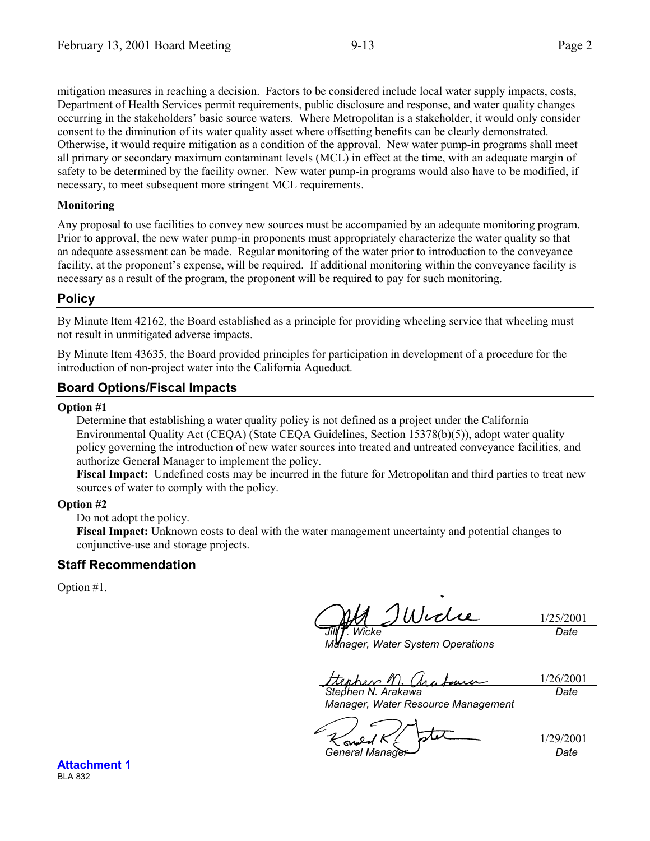mitigation measures in reaching a decision. Factors to be considered include local water supply impacts, costs, Department of Health Services permit requirements, public disclosure and response, and water quality changes occurring in the stakeholders' basic source waters. Where Metropolitan is a stakeholder, it would only consider consent to the diminution of its water quality asset where offsetting benefits can be clearly demonstrated. Otherwise, it would require mitigation as a condition of the approval. New water pump-in programs shall meet all primary or secondary maximum contaminant levels (MCL) in effect at the time, with an adequate margin of safety to be determined by the facility owner. New water pump-in programs would also have to be modified, if necessary, to meet subsequent more stringent MCL requirements.

### **Monitoring**

Any proposal to use facilities to convey new sources must be accompanied by an adequate monitoring program. Prior to approval, the new water pump-in proponents must appropriately characterize the water quality so that an adequate assessment can be made. Regular monitoring of the water prior to introduction to the conveyance facility, at the proponent's expense, will be required. If additional monitoring within the conveyance facility is necessary as a result of the program, the proponent will be required to pay for such monitoring.

# **Policy**

By Minute Item 42162, the Board established as a principle for providing wheeling service that wheeling must not result in unmitigated adverse impacts.

By Minute Item 43635, the Board provided principles for participation in development of a procedure for the introduction of non-project water into the California Aqueduct.

# **Board Options/Fiscal Impacts**

#### **Option #1**

Determine that establishing a water quality policy is not defined as a project under the California Environmental Quality Act (CEQA) (State CEQA Guidelines, Section 15378(b)(5)), adopt water quality policy governing the introduction of new water sources into treated and untreated conveyance facilities, and authorize General Manager to implement the policy.

**Fiscal Impact:** Undefined costs may be incurred in the future for Metropolitan and third parties to treat new sources of water to comply with the policy.

### **Option #2**

Do not adopt the policy.

**Fiscal Impact:** Unknown costs to deal with the water management uncertainty and potential changes to conjunctive-use and storage projects.

# **Staff Recommendation**

Option #1.

Widie *Jill T. Wicke*

1/25/2001 *Date*

*Manager, Water System Operations*

1/26/2001 terher 11) (hr. i. Luu *Stephen N. Arakawa*

*Date*

*Manager, Water Resource Management*

*General Manager Date*

1/29/2001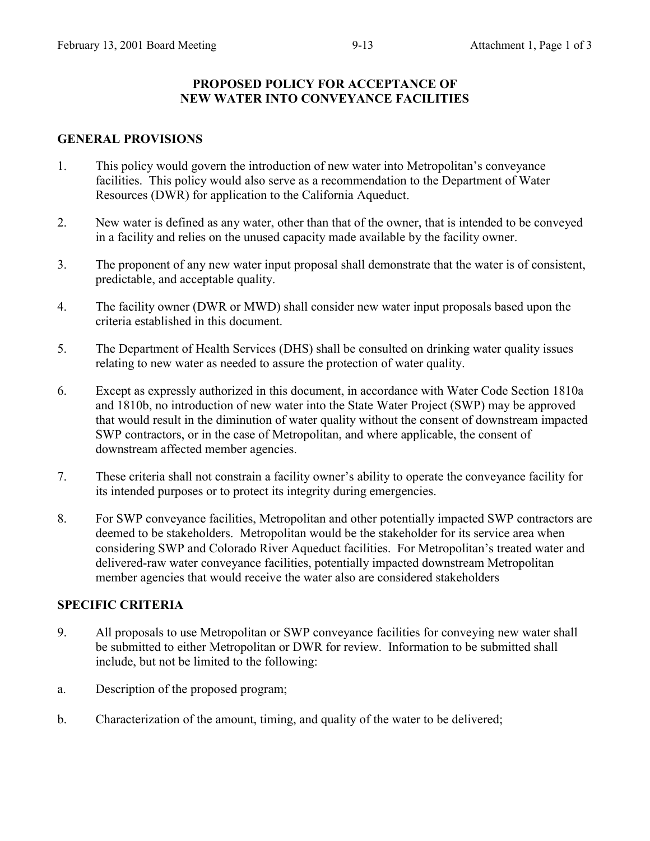# **PROPOSED POLICY FOR ACCEPTANCE OF NEW WATER INTO CONVEYANCE FACILITIES**

### **GENERAL PROVISIONS**

- 1. This policy would govern the introduction of new water into Metropolitan's conveyance facilities. This policy would also serve as a recommendation to the Department of Water Resources (DWR) for application to the California Aqueduct.
- 2. New water is defined as any water, other than that of the owner, that is intended to be conveyed in a facility and relies on the unused capacity made available by the facility owner.
- 3. The proponent of any new water input proposal shall demonstrate that the water is of consistent, predictable, and acceptable quality.
- 4. The facility owner (DWR or MWD) shall consider new water input proposals based upon the criteria established in this document.
- 5. The Department of Health Services (DHS) shall be consulted on drinking water quality issues relating to new water as needed to assure the protection of water quality.
- 6. Except as expressly authorized in this document, in accordance with Water Code Section 1810a and 1810b, no introduction of new water into the State Water Project (SWP) may be approved that would result in the diminution of water quality without the consent of downstream impacted SWP contractors, or in the case of Metropolitan, and where applicable, the consent of downstream affected member agencies.
- 7. These criteria shall not constrain a facility owner's ability to operate the conveyance facility for its intended purposes or to protect its integrity during emergencies.
- 8. For SWP conveyance facilities, Metropolitan and other potentially impacted SWP contractors are deemed to be stakeholders. Metropolitan would be the stakeholder for its service area when considering SWP and Colorado River Aqueduct facilities. For Metropolitan's treated water and delivered-raw water conveyance facilities, potentially impacted downstream Metropolitan member agencies that would receive the water also are considered stakeholders

### **SPECIFIC CRITERIA**

- 9. All proposals to use Metropolitan or SWP conveyance facilities for conveying new water shall be submitted to either Metropolitan or DWR for review. Information to be submitted shall include, but not be limited to the following:
- a. Description of the proposed program;
- b. Characterization of the amount, timing, and quality of the water to be delivered;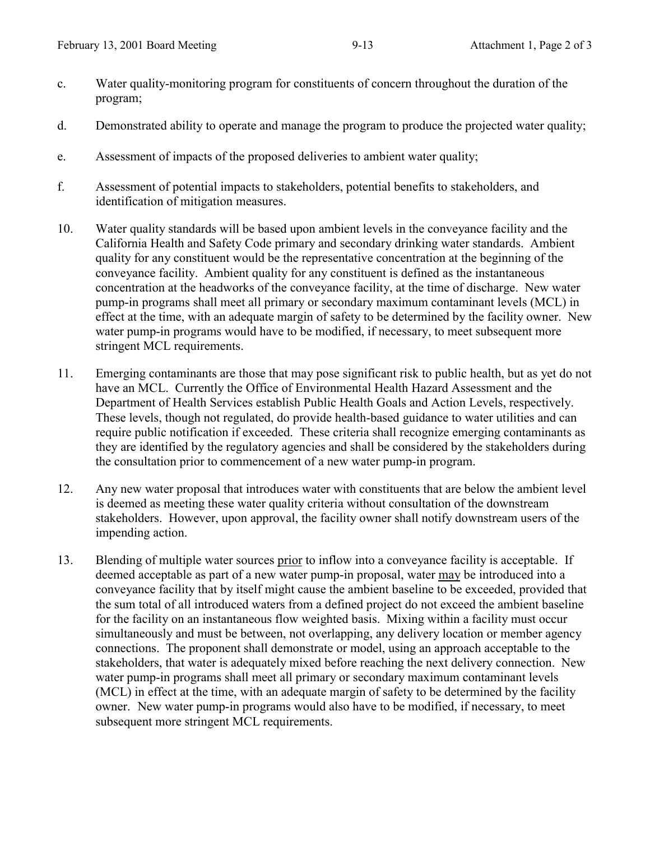- c. Water quality-monitoring program for constituents of concern throughout the duration of the program;
- d. Demonstrated ability to operate and manage the program to produce the projected water quality;
- e. Assessment of impacts of the proposed deliveries to ambient water quality;
- f. Assessment of potential impacts to stakeholders, potential benefits to stakeholders, and identification of mitigation measures.
- 10. Water quality standards will be based upon ambient levels in the conveyance facility and the California Health and Safety Code primary and secondary drinking water standards. Ambient quality for any constituent would be the representative concentration at the beginning of the conveyance facility. Ambient quality for any constituent is defined as the instantaneous concentration at the headworks of the conveyance facility, at the time of discharge. New water pump-in programs shall meet all primary or secondary maximum contaminant levels (MCL) in effect at the time, with an adequate margin of safety to be determined by the facility owner. New water pump-in programs would have to be modified, if necessary, to meet subsequent more stringent MCL requirements.
- 11. Emerging contaminants are those that may pose significant risk to public health, but as yet do not have an MCL. Currently the Office of Environmental Health Hazard Assessment and the Department of Health Services establish Public Health Goals and Action Levels, respectively. These levels, though not regulated, do provide health-based guidance to water utilities and can require public notification if exceeded. These criteria shall recognize emerging contaminants as they are identified by the regulatory agencies and shall be considered by the stakeholders during the consultation prior to commencement of a new water pump-in program.
- 12. Any new water proposal that introduces water with constituents that are below the ambient level is deemed as meeting these water quality criteria without consultation of the downstream stakeholders. However, upon approval, the facility owner shall notify downstream users of the impending action.
- 13. Blending of multiple water sources prior to inflow into a conveyance facility is acceptable. If deemed acceptable as part of a new water pump-in proposal, water may be introduced into a conveyance facility that by itself might cause the ambient baseline to be exceeded, provided that the sum total of all introduced waters from a defined project do not exceed the ambient baseline for the facility on an instantaneous flow weighted basis. Mixing within a facility must occur simultaneously and must be between, not overlapping, any delivery location or member agency connections. The proponent shall demonstrate or model, using an approach acceptable to the stakeholders, that water is adequately mixed before reaching the next delivery connection. New water pump-in programs shall meet all primary or secondary maximum contaminant levels (MCL) in effect at the time, with an adequate margin of safety to be determined by the facility owner. New water pump-in programs would also have to be modified, if necessary, to meet subsequent more stringent MCL requirements.